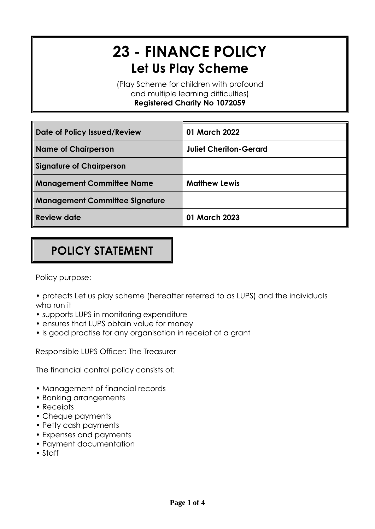# **23 - FINANCE POLICY Let Us Play Scheme**

(Play Scheme for children with profound and multiple learning difficulties) **Registered Charity No 1072059**

| Date of Policy Issued/Review          | 01 March 2022                 |
|---------------------------------------|-------------------------------|
| <b>Name of Chairperson</b>            | <b>Juliet Cheriton-Gerard</b> |
| <b>Signature of Chairperson</b>       |                               |
| <b>Management Committee Name</b>      | <b>Matthew Lewis</b>          |
| <b>Management Committee Signature</b> |                               |
| <b>Review date</b>                    | 01 March 2023                 |

# **POLICY STATEMENT**

Policy purpose:

- protects Let us play scheme (hereafter referred to as LUPS) and the individuals who run it
- supports LUPS in monitoring expenditure
- ensures that LUPS obtain value for money
- is good practise for any organisation in receipt of a grant

Responsible LUPS Officer: The Treasurer

The financial control policy consists of:

- Management of financial records
- Banking arrangements
- Receipts
- Cheque payments
- Petty cash payments
- Expenses and payments
- Payment documentation
- Staff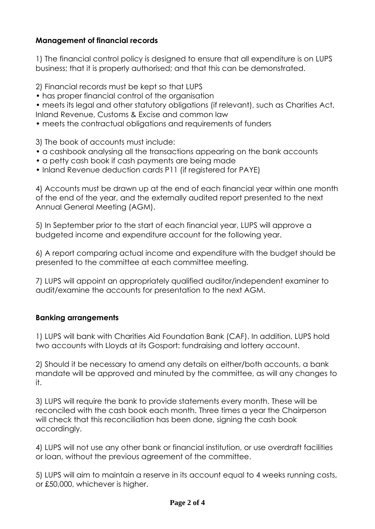# **Management of financial records**

1) The financial control policy is designed to ensure that all expenditure is on LUPS business; that it is properly authorised; and that this can be demonstrated.

2) Financial records must be kept so that LUPS

• has proper financial control of the organisation

• meets its legal and other statutory obligations (if relevant), such as Charities Act, Inland Revenue, Customs & Excise and common law

• meets the contractual obligations and requirements of funders

3) The book of accounts must include:

- a cashbook analysing all the transactions appearing on the bank accounts
- a petty cash book if cash payments are being made
- Inland Revenue deduction cards P11 (if registered for PAYE)

4) Accounts must be drawn up at the end of each financial year within one month of the end of the year, and the externally audited report presented to the next Annual General Meeting (AGM).

5) In September prior to the start of each financial year, LUPS will approve a budgeted income and expenditure account for the following year.

6) A report comparing actual income and expenditure with the budget should be presented to the committee at each committee meeting.

7) LUPS will appoint an appropriately qualified auditor/independent examiner to audit/examine the accounts for presentation to the next AGM.

# **Banking arrangements**

1) LUPS will bank with Charities Aid Foundation Bank (CAF). In addition, LUPS hold two accounts with Lloyds at its Gosport: fundraising and lottery account.

2) Should it be necessary to amend any details on either/both accounts, a bank mandate will be approved and minuted by the committee, as will any changes to it.

3) LUPS will require the bank to provide statements every month. These will be reconciled with the cash book each month. Three times a year the Chairperson will check that this reconciliation has been done, signing the cash book accordingly.

4) LUPS will not use any other bank or financial institution, or use overdraft facilities or loan, without the previous agreement of the committee.

5) LUPS will aim to maintain a reserve in its account equal to 4 weeks running costs, or £50,000, whichever is higher.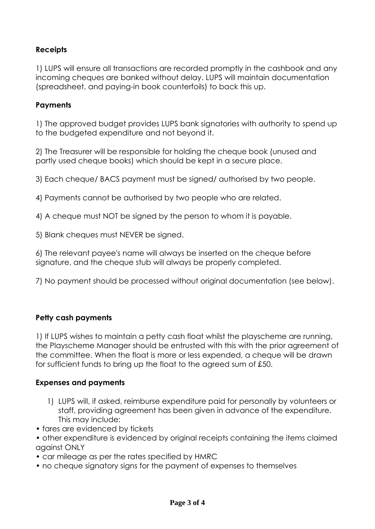# **Receipts**

1) LUPS will ensure all transactions are recorded promptly in the cashbook and any incoming cheques are banked without delay. LUPS will maintain documentation (spreadsheet, and paying-in book counterfoils) to back this up.

#### **Payments**

1) The approved budget provides LUPS bank signatories with authority to spend up to the budgeted expenditure and not beyond it.

2) The Treasurer will be responsible for holding the cheque book (unused and partly used cheque books) which should be kept in a secure place.

3) Each cheque/ BACS payment must be signed/ authorised by two people.

4) Payments cannot be authorised by two people who are related.

4) A cheque must NOT be signed by the person to whom it is payable.

5) Blank cheques must NEVER be signed.

6) The relevant payee's name will always be inserted on the cheque before signature, and the cheque stub will always be properly completed.

7) No payment should be processed without original documentation (see below).

#### **Petty cash payments**

1) If LUPS wishes to maintain a petty cash float whilst the playscheme are running, the Playscheme Manager should be entrusted with this with the prior agreement of the committee. When the float is more or less expended, a cheque will be drawn for sufficient funds to bring up the float to the agreed sum of £50.

#### **Expenses and payments**

- 1) LUPS will, if asked, reimburse expenditure paid for personally by volunteers or staff, providing agreement has been given in advance of the expenditure. This may include:
- fares are evidenced by tickets
- other expenditure is evidenced by original receipts containing the items claimed against ONLY
- car mileage as per the rates specified by HMRC
- no cheque signatory signs for the payment of expenses to themselves